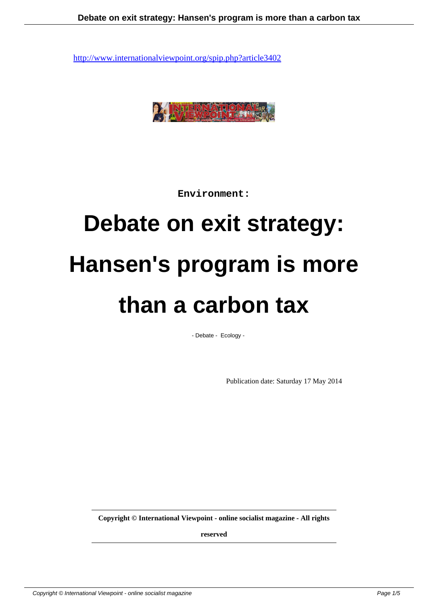

**Environment:**

## **Debate on exit strategy: Hansen's program is more than a carbon tax**

- Debate - Ecology -

Publication date: Saturday 17 May 2014

**Copyright © International Viewpoint - online socialist magazine - All rights**

**reserved**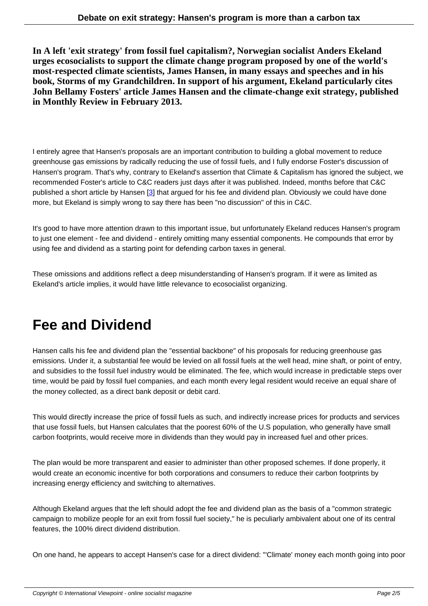**In A left 'exit strategy' from fossil fuel capitalism?, Norwegian socialist Anders Ekeland urges ecosocialists to support the climate change program proposed by one of the world's most-respected climate scientists, James Hansen, in many essays and speeches and in his book, Storms of my Grandchildren. In support of his argument, Ekeland particularly cites John Bellamy Fosters' article James Hansen and the climate-change exit strategy, published in Monthly Review in February 2013.**

I entirely agree that Hansen's proposals are an important contribution to building a global movement to reduce greenhouse gas emissions by radically reducing the use of fossil fuels, and I fully endorse Foster's discussion of Hansen's program. That's why, contrary to Ekeland's assertion that Climate & Capitalism has ignored the subject, we recommended Foster's article to C&C readers just days after it was published. Indeed, months before that C&C published a short article by Hansen [3] that argued for his fee and dividend plan. Obviously we could have done more, but Ekeland is simply wrong to say there has been "no discussion" of this in C&C.

It's good to have more attention dra[wn](#nb3) to this important issue, but unfortunately Ekeland reduces Hansen's program to just one element - fee and dividend - entirely omitting many essential components. He compounds that error by using fee and dividend as a starting point for defending carbon taxes in general.

These omissions and additions reflect a deep misunderstanding of Hansen's program. If it were as limited as Ekeland's article implies, it would have little relevance to ecosocialist organizing.

## **Fee and Dividend**

Hansen calls his fee and dividend plan the "essential backbone" of his proposals for reducing greenhouse gas emissions. Under it, a substantial fee would be levied on all fossil fuels at the well head, mine shaft, or point of entry, and subsidies to the fossil fuel industry would be eliminated. The fee, which would increase in predictable steps over time, would be paid by fossil fuel companies, and each month every legal resident would receive an equal share of the money collected, as a direct bank deposit or debit card.

This would directly increase the price of fossil fuels as such, and indirectly increase prices for products and services that use fossil fuels, but Hansen calculates that the poorest 60% of the U.S population, who generally have small carbon footprints, would receive more in dividends than they would pay in increased fuel and other prices.

The plan would be more transparent and easier to administer than other proposed schemes. If done properly, it would create an economic incentive for both corporations and consumers to reduce their carbon footprints by increasing energy efficiency and switching to alternatives.

Although Ekeland argues that the left should adopt the fee and dividend plan as the basis of a "common strategic campaign to mobilize people for an exit from fossil fuel society," he is peculiarly ambivalent about one of its central features, the 100% direct dividend distribution.

On one hand, he appears to accept Hansen's case for a direct dividend: "'Climate' money each month going into poor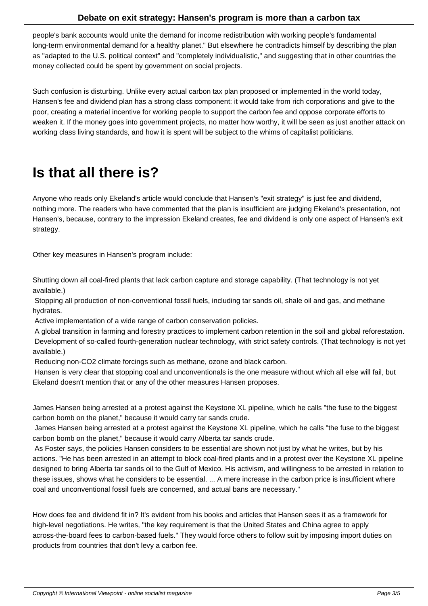people's bank accounts would unite the demand for income redistribution with working people's fundamental long-term environmental demand for a healthy planet." But elsewhere he contradicts himself by describing the plan as "adapted to the U.S. political context" and "completely individualistic," and suggesting that in other countries the money collected could be spent by government on social projects.

Such confusion is disturbing. Unlike every actual carbon tax plan proposed or implemented in the world today, Hansen's fee and dividend plan has a strong class component: it would take from rich corporations and give to the poor, creating a material incentive for working people to support the carbon fee and oppose corporate efforts to weaken it. If the money goes into government projects, no matter how worthy, it will be seen as just another attack on working class living standards, and how it is spent will be subject to the whims of capitalist politicians.

## **Is that all there is?**

Anyone who reads only Ekeland's article would conclude that Hansen's "exit strategy" is just fee and dividend, nothing more. The readers who have commented that the plan is insufficient are judging Ekeland's presentation, not Hansen's, because, contrary to the impression Ekeland creates, fee and dividend is only one aspect of Hansen's exit strategy.

Other key measures in Hansen's program include:

Shutting down all coal-fired plants that lack carbon capture and storage capability. (That technology is not yet available.)

 Stopping all production of non-conventional fossil fuels, including tar sands oil, shale oil and gas, and methane hydrates.

Active implementation of a wide range of carbon conservation policies.

 A global transition in farming and forestry practices to implement carbon retention in the soil and global reforestation. Development of so-called fourth-generation nuclear technology, with strict safety controls. (That technology is not yet available.)

Reducing non-CO2 climate forcings such as methane, ozone and black carbon.

 Hansen is very clear that stopping coal and unconventionals is the one measure without which all else will fail, but Ekeland doesn't mention that or any of the other measures Hansen proposes.

James Hansen being arrested at a protest against the Keystone XL pipeline, which he calls "the fuse to the biggest carbon bomb on the planet," because it would carry tar sands crude.

 James Hansen being arrested at a protest against the Keystone XL pipeline, which he calls "the fuse to the biggest carbon bomb on the planet," because it would carry Alberta tar sands crude.

 As Foster says, the policies Hansen considers to be essential are shown not just by what he writes, but by his actions. "He has been arrested in an attempt to block coal-fired plants and in a protest over the Keystone XL pipeline designed to bring Alberta tar sands oil to the Gulf of Mexico. His activism, and willingness to be arrested in relation to these issues, shows what he considers to be essential. ... A mere increase in the carbon price is insufficient where coal and unconventional fossil fuels are concerned, and actual bans are necessary."

How does fee and dividend fit in? It's evident from his books and articles that Hansen sees it as a framework for high-level negotiations. He writes, "the key requirement is that the United States and China agree to apply across-the-board fees to carbon-based fuels." They would force others to follow suit by imposing import duties on products from countries that don't levy a carbon fee.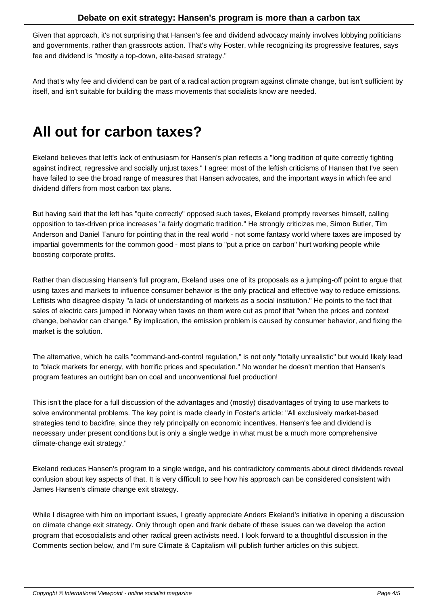Given that approach, it's not surprising that Hansen's fee and dividend advocacy mainly involves lobbying politicians and governments, rather than grassroots action. That's why Foster, while recognizing its progressive features, says fee and dividend is "mostly a top-down, elite-based strategy."

And that's why fee and dividend can be part of a radical action program against climate change, but isn't sufficient by itself, and isn't suitable for building the mass movements that socialists know are needed.

## **All out for carbon taxes?**

Ekeland believes that left's lack of enthusiasm for Hansen's plan reflects a "long tradition of quite correctly fighting against indirect, regressive and socially unjust taxes." I agree: most of the leftish criticisms of Hansen that I've seen have failed to see the broad range of measures that Hansen advocates, and the important ways in which fee and dividend differs from most carbon tax plans.

But having said that the left has "quite correctly" opposed such taxes, Ekeland promptly reverses himself, calling opposition to tax-driven price increases "a fairly dogmatic tradition." He strongly criticizes me, Simon Butler, Tim Anderson and Daniel Tanuro for pointing that in the real world - not some fantasy world where taxes are imposed by impartial governments for the common good - most plans to "put a price on carbon" hurt working people while boosting corporate profits.

Rather than discussing Hansen's full program, Ekeland uses one of its proposals as a jumping-off point to argue that using taxes and markets to influence consumer behavior is the only practical and effective way to reduce emissions. Leftists who disagree display "a lack of understanding of markets as a social institution." He points to the fact that sales of electric cars jumped in Norway when taxes on them were cut as proof that "when the prices and context change, behavior can change." By implication, the emission problem is caused by consumer behavior, and fixing the market is the solution.

The alternative, which he calls "command-and-control regulation," is not only "totally unrealistic" but would likely lead to "black markets for energy, with horrific prices and speculation." No wonder he doesn't mention that Hansen's program features an outright ban on coal and unconventional fuel production!

This isn't the place for a full discussion of the advantages and (mostly) disadvantages of trying to use markets to solve environmental problems. The key point is made clearly in Foster's article: "All exclusively market-based strategies tend to backfire, since they rely principally on economic incentives. Hansen's fee and dividend is necessary under present conditions but is only a single wedge in what must be a much more comprehensive climate-change exit strategy."

Ekeland reduces Hansen's program to a single wedge, and his contradictory comments about direct dividends reveal confusion about key aspects of that. It is very difficult to see how his approach can be considered consistent with James Hansen's climate change exit strategy.

While I disagree with him on important issues, I greatly appreciate Anders Ekeland's initiative in opening a discussion on climate change exit strategy. Only through open and frank debate of these issues can we develop the action program that ecosocialists and other radical green activists need. I look forward to a thoughtful discussion in the Comments section below, and I'm sure Climate & Capitalism will publish further articles on this subject.